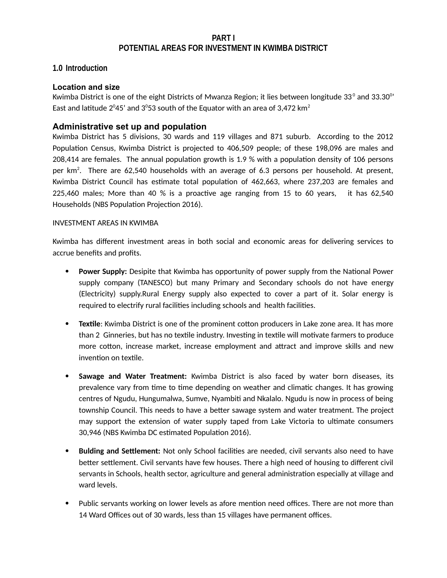#### **PART I POTENTIAL AREAS FOR INVESTMENT IN KWIMBA DISTRICT**

### **1.0 Introduction**

#### **Location and size**

Kwimba District is one of the eight Districts of Mwanza Region; it lies between longitude 33 $^{\rm o}$  and 33.30 $^{\rm o}$ ' East and latitude 2 $^{\rm o}$ 45' and 3 $^{\rm o}$ 53 south of the Equator with an area of 3,472 km $^{\rm 2}$ 

### **Administrative set up and population**

Kwimba District has 5 divisions, 30 wards and 119 villages and 871 suburb. According to the 2012 Population Census, Kwimba District is projected to 406,509 people; of these 198,096 are males and 208,414 are females. The annual population growth is 1.9 % with a population density of 106 persons per km<sup>2</sup>. There are 62,540 households with an average of 6.3 persons per household. At present, Kwimba District Council has estimate total population of 462,663, where 237,203 are females and 225,460 males; More than 40 % is a proactive age ranging from 15 to 60 years, it has 62,540 Households (NBS Population Projection 2016).

#### INVESTMENT AREAS IN KWIMBA

Kwimba has different investment areas in both social and economic areas for delivering services to accrue benefits and profits.

- **Power Supply:** Desipite that Kwimba has opportunity of power supply from the National Power supply company (TANESCO) but many Primary and Secondary schools do not have energy (Electricity) supply.Rural Energy supply also expected to cover a part of it. Solar energy is required to electrify rural facilities including schools and health facilities.
- **Textile**: Kwimba District is one of the prominent cotton producers in Lake zone area. It has more than 2 Ginneries, but has no textile industry. Investing in textile will motivate farmers to produce more cotton, increase market, increase employment and attract and improve skills and new invention on textile.
- **Sawage and Water Treatment:** Kwimba District is also faced by water born diseases, its prevalence vary from time to time depending on weather and climatic changes. It has growing centres of Ngudu, Hungumalwa, Sumve, Nyambiti and Nkalalo. Ngudu is now in process of being township Council. This needs to have a better sawage system and water treatment. The project may support the extension of water supply taped from Lake Victoria to ultimate consumers 30,946 (NBS Kwimba DC estimated Population 2016).
- **Bulding and Settlement:** Not only School facilities are needed, civil servants also need to have better settlement. Civil servants have few houses. There a high need of housing to different civil servants in Schools, health sector, agriculture and general administration especially at village and ward levels.
- Public servants working on lower levels as afore mention need offices. There are not more than 14 Ward Offices out of 30 wards, less than 15 villages have permanent offices.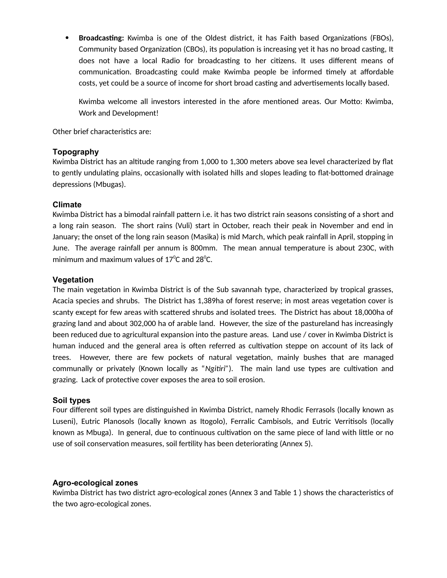**Broadcasting:** Kwimba is one of the Oldest district, it has Faith based Organizations (FBOs), Community based Organization (CBOs), its population is increasing yet it has no broad casting, It does not have a local Radio for broadcasting to her citizens. It uses different means of communication. Broadcasting could make Kwimba people be informed timely at affordable costs, yet could be a source of income for short broad casting and advertisements locally based.

Kwimba welcome all investors interested in the afore mentioned areas. Our Motto: Kwimba, Work and Development!

Other brief characteristics are:

#### **Topography**

Kwimba District has an altitude ranging from 1,000 to 1,300 meters above sea level characterized by flat to gently undulating plains, occasionally with isolated hills and slopes leading to flat-bottomed drainage depressions (Mbugas).

#### **Climate**

Kwimba District has a bimodal rainfall pattern i.e. it has two district rain seasons consisting of a short and a long rain season. The short rains (Vuli) start in October, reach their peak in November and end in January; the onset of the long rain season (Masika) is mid March, which peak rainfall in April, stopping in June. The average rainfall per annum is 800mm. The mean annual temperature is about 230C, with minimum and maximum values of 17 $^{\circ}$ C and 28 $^{\circ}$ C.

#### **Vegetation**

The main vegetation in Kwimba District is of the Sub savannah type, characterized by tropical grasses, Acacia species and shrubs. The District has 1,389ha of forest reserve; in most areas vegetation cover is scanty except for few areas with scattered shrubs and isolated trees. The District has about 18,000ha of grazing land and about 302,000 ha of arable land. However, the size of the pastureland has increasingly been reduced due to agricultural expansion into the pasture areas. Land use / cover in Kwimba District is human induced and the general area is often referred as cultivation steppe on account of its lack of trees. However, there are few pockets of natural vegetation, mainly bushes that are managed communally or privately (Known locally as "*Ngitiri"*). The main land use types are cultivation and grazing. Lack of protective cover exposes the area to soil erosion.

#### **Soil types**

Four different soil types are distinguished in Kwimba District, namely Rhodic Ferrasols (locally known as Luseni), Eutric Planosols (locally known as Itogolo), Ferralic Cambisols, and Eutric Verritisols (locally known as Mbuga). In general, due to continuous cultivation on the same piece of land with little or no use of soil conservation measures, soil fertility has been deteriorating (Annex 5).

#### **Agro-ecological zones**

Kwimba District has two district agro-ecological zones (Annex 3 and Table 1 ) shows the characteristics of the two agro-ecological zones.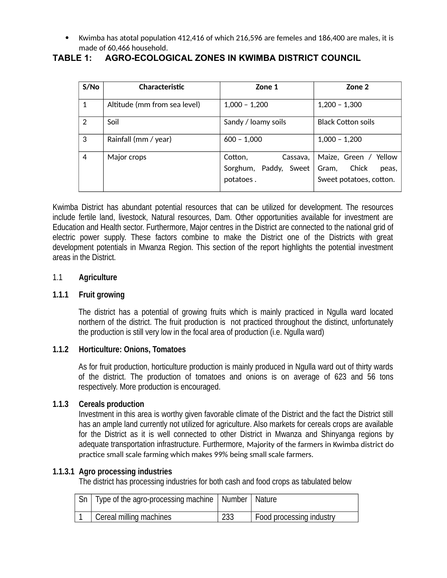Kwimba has atotal population 412,416 of which 216,596 are femeles and 186,400 are males, it is made of 60,466 household.

# **TABLE 1: AGRO-ECOLOGICAL ZONES IN KWIMBA DISTRICT COUNCIL**

| S/N <sub>O</sub> | <b>Characteristic</b>        | Zone 1                                                    | Zone 2                                                                      |
|------------------|------------------------------|-----------------------------------------------------------|-----------------------------------------------------------------------------|
| $\mathbf 1$      | Altitude (mm from sea level) | $1,000 - 1,200$                                           | $1,200 - 1,300$                                                             |
| $\overline{2}$   | Soil                         | Sandy / loamy soils                                       | <b>Black Cotton soils</b>                                                   |
| 3                | Rainfall (mm / year)         | $600 - 1,000$                                             | $1,000 - 1,200$                                                             |
| $\overline{4}$   | Major crops                  | Cotton,<br>Cassava,<br>Sorghum, Paddy, Sweet<br>potatoes. | Maize, Green / Yellow<br>Chick<br>Gram,<br>peas,<br>Sweet potatoes, cotton. |

Kwimba District has abundant potential resources that can be utilized for development. The resources include fertile land, livestock, Natural resources, Dam. Other opportunities available for investment are Education and Health sector. Furthermore, Major centres in the District are connected to the national grid of electric power supply. These factors combine to make the District one of the Districts with great development potentials in Mwanza Region. This section of the report highlights the potential investment areas in the District.

### 1.1 **Agriculture**

### **1.1.1 Fruit growing**

The district has a potential of growing fruits which is mainly practiced in Ngulla ward located northern of the district. The fruit production is not practiced throughout the distinct, unfortunately the production is still very low in the focal area of production (i.e. Ngulla ward)

### **1.1.2 Horticulture: Onions, Tomatoes**

As for fruit production, horticulture production is mainly produced in Ngulla ward out of thirty wards of the district. The production of tomatoes and onions is on average of 623 and 56 tons respectively. More production is encouraged.

### **1.1.3 Cereals production**

Investment in this area is worthy given favorable climate of the District and the fact the District still has an ample land currently not utilized for agriculture. Also markets for cereals crops are available for the District as it is well connected to other District in Mwanza and Shinyanga regions by adequate transportation infrastructure. Furthermore, Majority of the farmers in Kwimba district do practice small scale farming which makes 99% being small scale farmers.

# **1.1.3.1 Agro processing industries**

The district has processing industries for both cash and food crops as tabulated below

| Type of the agro-processing machine   Number   Nature |     |                          |
|-------------------------------------------------------|-----|--------------------------|
| Cereal milling machines                               | 233 | Food processing industry |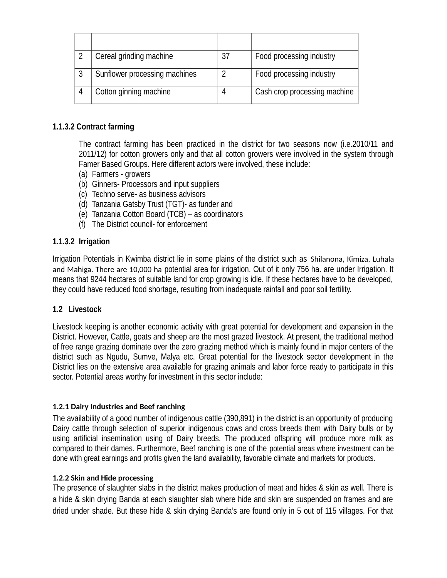| Cereal grinding machine       | 37 | Food processing industry     |
|-------------------------------|----|------------------------------|
| Sunflower processing machines |    | Food processing industry     |
| Cotton ginning machine        |    | Cash crop processing machine |

## **1.1.3.2 Contract farming**

The contract farming has been practiced in the district for two seasons now (i.e.2010/11 and 2011/12) for cotton growers only and that all cotton growers were involved in the system through Famer Based Groups. Here different actors were involved, these include:

- (a) Farmers growers
- (b) Ginners- Processors and input suppliers
- (c) Techno serve- as business advisors
- (d) Tanzania Gatsby Trust (TGT)- as funder and
- (e) Tanzania Cotton Board (TCB) as coordinators
- (f) The District council- for enforcement

### **1.1.3.2 Irrigation**

Irrigation Potentials in Kwimba district lie in some plains of the district such as Shilanona, Kimiza, Luhala and Mahiga. There are 10,000 ha potential area for irrigation, Out of it only 756 ha. are under Irrigation. It means that 9244 hectares of suitable land for crop growing is idle. If these hectares have to be developed, they could have reduced food shortage, resulting from inadequate rainfall and poor soil fertility.

### **1.2 Livestock**

Livestock keeping is another economic activity with great potential for development and expansion in the District. However, Cattle, goats and sheep are the most grazed livestock. At present, the traditional method of free range grazing dominate over the zero grazing method which is mainly found in major centers of the district such as Ngudu, Sumve, Malya etc. Great potential for the livestock sector development in the District lies on the extensive area available for grazing animals and labor force ready to participate in this sector. Potential areas worthy for investment in this sector include:

### **1.2.1 Dairy Industries and Beef ranching**

The availability of a good number of indigenous cattle (390,891) in the district is an opportunity of producing Dairy cattle through selection of superior indigenous cows and cross breeds them with Dairy bulls or by using artificial insemination using of Dairy breeds. The produced offspring will produce more milk as compared to their dames. Furthermore, Beef ranching is one of the potential areas where investment can be done with great earnings and profits given the land availability, favorable climate and markets for products.

### **1.2.2 Skin and Hide processing**

The presence of slaughter slabs in the district makes production of meat and hides & skin as well. There is a hide & skin drying Banda at each slaughter slab where hide and skin are suspended on frames and are dried under shade. But these hide & skin drying Banda's are found only in 5 out of 115 villages. For that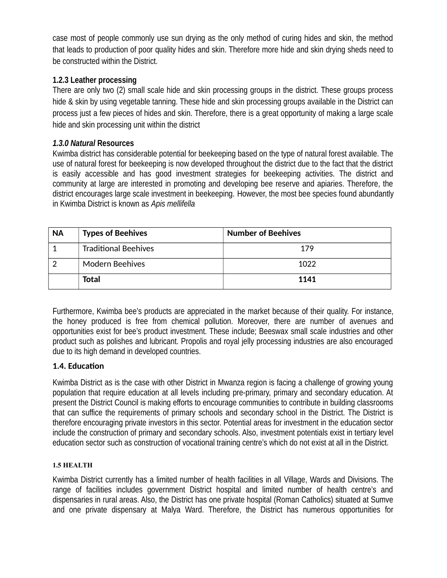case most of people commonly use sun drying as the only method of curing hides and skin, the method that leads to production of poor quality hides and skin. Therefore more hide and skin drying sheds need to be constructed within the District.

# **1.2.3 Leather processing**

There are only two (2) small scale hide and skin processing groups in the district. These groups process hide & skin by using vegetable tanning. These hide and skin processing groups available in the District can process just a few pieces of hides and skin. Therefore, there is a great opportunity of making a large scale hide and skin processing unit within the district

# *1.3.0 Natural* **Resources**

Kwimba district has considerable potential for beekeeping based on the type of natural forest available. The use of natural forest for beekeeping is now developed throughout the district due to the fact that the district is easily accessible and has good investment strategies for beekeeping activities. The district and community at large are interested in promoting and developing bee reserve and apiaries. Therefore, the district encourages large scale investment in beekeeping. However, the most bee species found abundantly in Kwimba District is known as *Apis mellifella*

| <b>NA</b> | <b>Types of Beehives</b>    | <b>Number of Beehives</b> |
|-----------|-----------------------------|---------------------------|
|           | <b>Traditional Beehives</b> | 179                       |
|           | <b>Modern Beehives</b>      | 1022                      |
|           | <b>Total</b>                | 1141                      |

Furthermore, Kwimba bee's products are appreciated in the market because of their quality. For instance, the honey produced is free from chemical pollution. Moreover, there are number of avenues and opportunities exist for bee's product investment. These include; Beeswax small scale industries and other product such as polishes and lubricant. Propolis and royal jelly processing industries are also encouraged due to its high demand in developed countries.

# **1.4. Education**

Kwimba District as is the case with other District in Mwanza region is facing a challenge of growing young population that require education at all levels including pre-primary, primary and secondary education. At present the District Council is making efforts to encourage communities to contribute in building classrooms that can suffice the requirements of primary schools and secondary school in the District. The District is therefore encouraging private investors in this sector. Potential areas for investment in the education sector include the construction of primary and secondary schools. Also, investment potentials exist in tertiary level education sector such as construction of vocational training centre's which do not exist at all in the District.

### **1.5 HEALTH**

Kwimba District currently has a limited number of health facilities in all Village, Wards and Divisions. The range of facilities includes government District hospital and limited number of health centre's and dispensaries in rural areas. Also, the District has one private hospital (Roman Catholics) situated at Sumve and one private dispensary at Malya Ward. Therefore, the District has numerous opportunities for